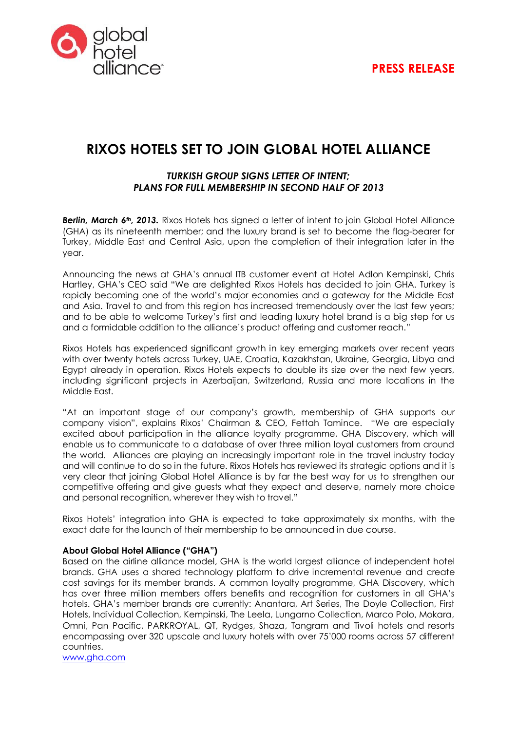

# **RIXOS HOTELS SET TO JOIN GLOBAL HOTEL ALLIANCE**

### *TURKISH GROUP SIGNS LETTER OF INTENT; PLANS FOR FULL MEMBERSHIP IN SECOND HALF OF 2013*

*Berlin, March 6th, 2013.* Rixos Hotels has signed a letter of intent to join Global Hotel Alliance (GHA) as its nineteenth member; and the luxury brand is set to become the flag-bearer for Turkey, Middle East and Central Asia, upon the completion of their integration later in the year.

Announcing the news at GHA's annual ITB customer event at Hotel Adlon Kempinski, Chris Hartley, GHA's CEO said "We are delighted Rixos Hotels has decided to join GHA. Turkey is rapidly becoming one of the world's major economies and a gateway for the Middle East and Asia. Travel to and from this region has increased tremendously over the last few years; and to be able to welcome Turkey's first and leading luxury hotel brand is a big step for us and a formidable addition to the alliance's product offering and customer reach."

Rixos Hotels has experienced significant growth in key emerging markets over recent years with over twenty hotels across Turkey, UAE, Croatia, Kazakhstan, Ukraine, Georgia, Libya and Egypt already in operation. Rixos Hotels expects to double its size over the next few years, including significant projects in Azerbaijan, Switzerland, Russia and more locations in the Middle East.

"At an important stage of our company's growth, membership of GHA supports our company vision", explains Rixos' Chairman & CEO, Fettah Tamince. "We are especially excited about participation in the alliance loyalty programme, GHA Discovery, which will enable us to communicate to a database of over three million loyal customers from around the world. Alliances are playing an increasingly important role in the travel industry today and will continue to do so in the future. Rixos Hotels has reviewed its strategic options and it is very clear that joining Global Hotel Alliance is by far the best way for us to strengthen our competitive offering and give guests what they expect and deserve, namely more choice and personal recognition, wherever they wish to travel."

Rixos Hotels' integration into GHA is expected to take approximately six months, with the exact date for the launch of their membership to be announced in due course.

#### **About Global Hotel Alliance ("GHA")**

Based on the airline alliance model, GHA is the world largest alliance of independent hotel brands. GHA uses a shared technology platform to drive incremental revenue and create cost savings for its member brands. A common loyalty programme, GHA Discovery, which has over three million members offers benefits and recognition for customers in all GHA's hotels. GHA's member brands are currently: Anantara, Art Series, The Doyle Collection, First Hotels, Individual Collection, Kempinski, The Leela, Lungarno Collection, Marco Polo, Mokara, Omni, Pan Pacific, PARKROYAL, QT, Rydges, Shaza, Tangram and Tivoli hotels and resorts encompassing over 320 upscale and luxury hotels with over 75'000 rooms across 57 different countries.

[www.gha.com](http://www.gha.com/)